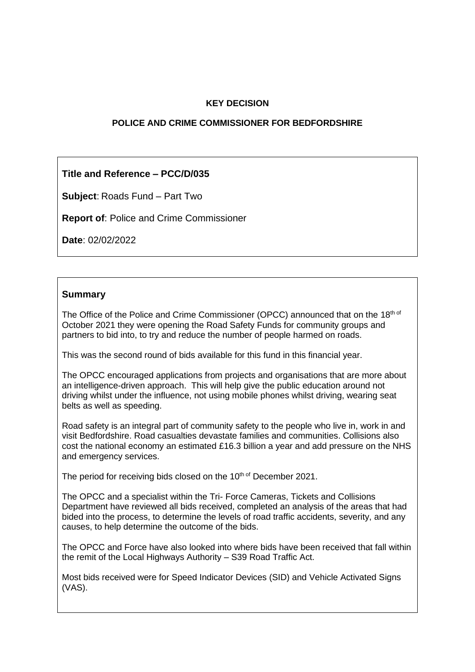## **KEY DECISION**

### **POLICE AND CRIME COMMISSIONER FOR BEDFORDSHIRE**

# **Title and Reference – PCC/D/035**

**Subject**: Roads Fund – Part Two

**Report of**: Police and Crime Commissioner

**Date**: 02/02/2022

### **Summary**

The Office of the Police and Crime Commissioner (OPCC) announced that on the 18th of October 2021 they were opening the Road Safety Funds for community groups and partners to bid into, to try and reduce the number of people harmed on roads.

This was the second round of bids available for this fund in this financial year.

The OPCC encouraged applications from projects and organisations that are more about an intelligence-driven approach. This will help give the public education around not driving whilst under the influence, not using mobile phones whilst driving, wearing seat belts as well as speeding.

Road safety is an integral part of community safety to the people who live in, work in and visit Bedfordshire. Road casualties devastate families and communities. Collisions also cost the national economy an estimated £16.3 billion a year and add pressure on the NHS and emergency services.

The period for receiving bids closed on the 10<sup>th of</sup> December 2021.

The OPCC and a specialist within the Tri- Force Cameras, Tickets and Collisions Department have reviewed all bids received, completed an analysis of the areas that had bided into the process, to determine the levels of road traffic accidents, severity, and any causes, to help determine the outcome of the bids.

The OPCC and Force have also looked into where bids have been received that fall within the remit of the Local Highways Authority – S39 Road Traffic Act.

Most bids received were for Speed Indicator Devices (SID) and Vehicle Activated Signs (VAS).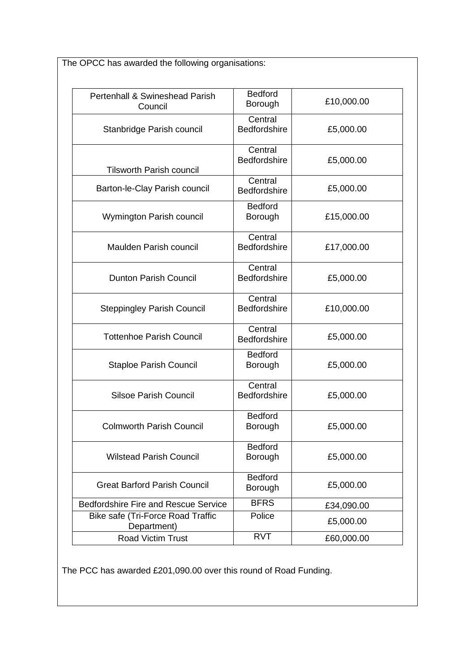The OPCC has awarded the following organisations:

| Pertenhall & Swineshead Parish<br>Council        | <b>Bedford</b><br>Borough      | £10,000.00 |
|--------------------------------------------------|--------------------------------|------------|
| Stanbridge Parish council                        | Central<br><b>Bedfordshire</b> | £5,000.00  |
| <b>Tilsworth Parish council</b>                  | Central<br><b>Bedfordshire</b> | £5,000.00  |
| Barton-le-Clay Parish council                    | Central<br><b>Bedfordshire</b> | £5,000.00  |
| Wymington Parish council                         | <b>Bedford</b><br>Borough      | £15,000.00 |
| <b>Maulden Parish council</b>                    | Central<br><b>Bedfordshire</b> | £17,000.00 |
| <b>Dunton Parish Council</b>                     | Central<br><b>Bedfordshire</b> | £5,000.00  |
| <b>Steppingley Parish Council</b>                | Central<br><b>Bedfordshire</b> | £10,000.00 |
| <b>Tottenhoe Parish Council</b>                  | Central<br>Bedfordshire        | £5,000.00  |
| <b>Staploe Parish Council</b>                    | <b>Bedford</b><br>Borough      | £5,000.00  |
| <b>Silsoe Parish Council</b>                     | Central<br><b>Bedfordshire</b> | £5,000.00  |
| <b>Colmworth Parish Council</b>                  | <b>Bedford</b><br>Borough      | £5,000.00  |
| <b>Wilstead Parish Council</b>                   | <b>Bedford</b><br>Borough      | £5,000.00  |
| <b>Great Barford Parish Council</b>              | <b>Bedford</b><br>Borough      | £5,000.00  |
| <b>Bedfordshire Fire and Rescue Service</b>      | <b>BFRS</b>                    | £34,090.00 |
| Bike safe (Tri-Force Road Traffic<br>Department) | Police                         | £5,000.00  |
| <b>Road Victim Trust</b>                         | <b>RVT</b>                     | £60,000.00 |

The PCC has awarded £201,090.00 over this round of Road Funding.